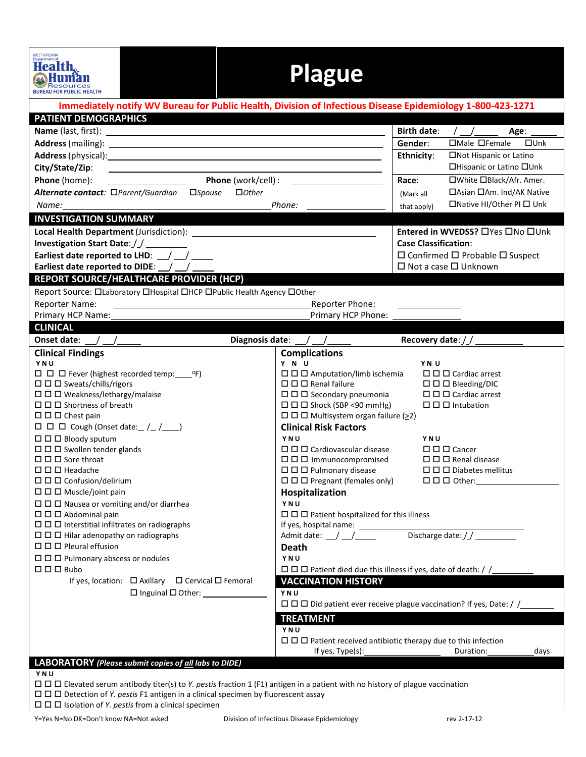| WEST VIRGINIA<br>Department of<br>Health.<br><b>Resources</b><br><b>BUREAU FOR PUBLIC HEALTH</b>                                                                                                                                     |                                                                                                                                            | <b>Plague</b>                                                                                 |                                                                                                  |                                                                                     |               |  |  |
|--------------------------------------------------------------------------------------------------------------------------------------------------------------------------------------------------------------------------------------|--------------------------------------------------------------------------------------------------------------------------------------------|-----------------------------------------------------------------------------------------------|--------------------------------------------------------------------------------------------------|-------------------------------------------------------------------------------------|---------------|--|--|
| Immediately notify WV Bureau for Public Health, Division of Infectious Disease Epidemiology 1-800-423-1271                                                                                                                           |                                                                                                                                            |                                                                                               |                                                                                                  |                                                                                     |               |  |  |
| <b>PATIENT DEMOGRAPHICS</b>                                                                                                                                                                                                          |                                                                                                                                            |                                                                                               |                                                                                                  |                                                                                     |               |  |  |
|                                                                                                                                                                                                                                      |                                                                                                                                            |                                                                                               | <b>Birth date:</b>                                                                               | $/$ $/$ $/$ $-$                                                                     | Age: ______   |  |  |
| Address (mailing): <u>2000 and 2000 and 2000 and 2000 and 2000 and 2000 and 2000 and 2000 and 2000 and 2000 and 2000 and 2000 and 2000 and 2000 and 2000 and 2000 and 2000 and 2000 and 2000 and 2000 and 2000 and 2000 and 2000</u> |                                                                                                                                            |                                                                                               | Gender:                                                                                          | $\Box$ Male $\Box$ Female                                                           | $\square$ Unk |  |  |
|                                                                                                                                                                                                                                      | Ethnicity:                                                                                                                                 | □Not Hispanic or Latino<br>□Hispanic or Latino □Unk                                           |                                                                                                  |                                                                                     |               |  |  |
| City/State/Zip:<br><u> 1989 - Johann Stoff, amerikansk politiker (d. 1989)</u><br><b>Example 10</b> Phone (work/cell) :                                                                                                              |                                                                                                                                            |                                                                                               |                                                                                                  |                                                                                     |               |  |  |
| Phone (home):<br>Alternate contact: □Parent/Guardian □Spouse                                                                                                                                                                         |                                                                                                                                            | □White □Black/Afr. Amer.<br>Race:<br>□ Asian □ Am. Ind/AK Native                              |                                                                                                  |                                                                                     |               |  |  |
|                                                                                                                                                                                                                                      | $\Box$ Other                                                                                                                               |                                                                                               | (Mark all                                                                                        | $\Box$ Native HI/Other PI $\Box$ Unk                                                |               |  |  |
| Name: and the state of the state of the state of the state of the state of the state of the state of the state of the state of the state of the state of the state of the state of the state of the state of the state of the        |                                                                                                                                            |                                                                                               | that apply)                                                                                      |                                                                                     |               |  |  |
| <b>INVESTIGATION SUMMARY</b>                                                                                                                                                                                                         |                                                                                                                                            |                                                                                               |                                                                                                  |                                                                                     |               |  |  |
|                                                                                                                                                                                                                                      |                                                                                                                                            |                                                                                               |                                                                                                  | Entered in WVEDSS? □ Yes □ No □ Unk                                                 |               |  |  |
| Investigation Start Date: / / ________                                                                                                                                                                                               |                                                                                                                                            |                                                                                               |                                                                                                  | <b>Case Classification:</b>                                                         |               |  |  |
| Earliest date reported to LHD: / /<br>Earliest date reported to DIDE: $\angle$ /                                                                                                                                                     |                                                                                                                                            |                                                                                               |                                                                                                  | $\Box$ Confirmed $\Box$ Probable $\Box$ Suspect<br>$\Box$ Not a case $\Box$ Unknown |               |  |  |
| <b>REPORT SOURCE/HEALTHCARE PROVIDER (HCP)</b>                                                                                                                                                                                       |                                                                                                                                            |                                                                                               |                                                                                                  |                                                                                     |               |  |  |
| Report Source: Olaboratory OHospital OHCP OPublic Health Agency OOther                                                                                                                                                               |                                                                                                                                            |                                                                                               |                                                                                                  |                                                                                     |               |  |  |
| <b>Reporter Name:</b>                                                                                                                                                                                                                |                                                                                                                                            | Reporter Phone:                                                                               |                                                                                                  |                                                                                     |               |  |  |
| Primary HCP Name:                                                                                                                                                                                                                    | <u> 1989 - Johann Stoff, deutscher Stoffen und der Stoffen und der Stoffen und der Stoffen und der Stoffen und der</u>                     | Primary HCP Phone: _                                                                          |                                                                                                  |                                                                                     |               |  |  |
| <b>CLINICAL</b>                                                                                                                                                                                                                      |                                                                                                                                            |                                                                                               |                                                                                                  |                                                                                     |               |  |  |
|                                                                                                                                                                                                                                      |                                                                                                                                            | Diagnosis date: $\angle$ / /                                                                  |                                                                                                  | Recovery date: $\frac{1}{2}$                                                        |               |  |  |
| <b>Clinical Findings</b>                                                                                                                                                                                                             |                                                                                                                                            | <b>Complications</b>                                                                          |                                                                                                  |                                                                                     |               |  |  |
| YNU                                                                                                                                                                                                                                  |                                                                                                                                            | Y N U                                                                                         | YN U                                                                                             |                                                                                     |               |  |  |
|                                                                                                                                                                                                                                      |                                                                                                                                            | $\Box$ $\Box$ Amputation/limb ischemia                                                        |                                                                                                  | $\Box$ $\Box$ Cardiac arrest                                                        |               |  |  |
| $\Box$ $\Box$ Sweats/chills/rigors                                                                                                                                                                                                   |                                                                                                                                            | $\Box$ $\Box$ $\Box$ Renal failure<br>$\square$ $\square$ Bleeding/DIC                        |                                                                                                  |                                                                                     |               |  |  |
| $\Box$ $\Box$ Weakness/lethargy/malaise<br>$\Box$ $\Box$ Shortness of breath                                                                                                                                                         | $\Box$ $\Box$ Secondary pneumonia<br>$\Box$ $\Box$ $\Box$ Cardiac arrest<br>$\Box$ $\Box$ Shock (SBP <90 mmHg)<br>$\Box$ $\Box$ Intubation |                                                                                               |                                                                                                  |                                                                                     |               |  |  |
| $\Box$ $\Box$ Chest pain                                                                                                                                                                                                             | $\Box$ $\Box$ Multisystem organ failure ( $\geq$ 2)                                                                                        |                                                                                               |                                                                                                  |                                                                                     |               |  |  |
| $\Box$ $\Box$ $\Box$ Cough (Onset date: $\angle$ / $\angle$                                                                                                                                                                          |                                                                                                                                            | <b>Clinical Risk Factors</b>                                                                  |                                                                                                  |                                                                                     |               |  |  |
| $\Box$ $\Box$ Bloody sputum                                                                                                                                                                                                          | YNU<br>YNU                                                                                                                                 |                                                                                               |                                                                                                  |                                                                                     |               |  |  |
| $\Box$ $\Box$ Swollen tender glands                                                                                                                                                                                                  |                                                                                                                                            | $\square \square \square$ Cardiovascular disease<br>$\square$ $\square$ $\square$ Cancer      |                                                                                                  |                                                                                     |               |  |  |
| $\square \square \square$ Sore throat                                                                                                                                                                                                | $\Box$ $\Box$ Immunocompromised<br>$\Box$ $\Box$ Renal disease                                                                             |                                                                                               |                                                                                                  |                                                                                     |               |  |  |
| $\Box$ $\Box$ Headache                                                                                                                                                                                                               | $\Box$ $\Box$ Pulmonary disease<br>$\Box$ $\Box$ Diabetes mellitus                                                                         |                                                                                               |                                                                                                  |                                                                                     |               |  |  |
| $\Box$ $\Box$ Confusion/delirium                                                                                                                                                                                                     |                                                                                                                                            |                                                                                               | $\Box$ $\Box$ Pregnant (females only)<br>$\square$ $\square$ $\square$ Other:<br>Hospitalization |                                                                                     |               |  |  |
| $\Box$ $\Box$ Muscle/joint pain                                                                                                                                                                                                      |                                                                                                                                            |                                                                                               |                                                                                                  |                                                                                     |               |  |  |
| YNU<br>$\Box$ $\Box$ Nausea or vomiting and/or diarrhea<br>$\Box$ $\Box$ Abdominal pain                                                                                                                                              |                                                                                                                                            |                                                                                               |                                                                                                  |                                                                                     |               |  |  |
| $\Box$ $\Box$ Interstitial infiltrates on radiographs                                                                                                                                                                                | $\Box$ $\Box$ Patient hospitalized for this illness                                                                                        |                                                                                               |                                                                                                  |                                                                                     |               |  |  |
| $\Box$ $\Box$ Hilar adenopathy on radiographs                                                                                                                                                                                        |                                                                                                                                            | Discharge date://<br>Admit date: $\angle$ $\angle$ $\angle$                                   |                                                                                                  |                                                                                     |               |  |  |
| $\Box$ $\Box$ Pleural effusion                                                                                                                                                                                                       |                                                                                                                                            | <b>Death</b>                                                                                  |                                                                                                  |                                                                                     |               |  |  |
| $\Box$ $\Box$ $\Box$ Pulmonary abscess or nodules                                                                                                                                                                                    |                                                                                                                                            | YNU                                                                                           |                                                                                                  |                                                                                     |               |  |  |
| $\Box$ $\Box$ Bubo                                                                                                                                                                                                                   |                                                                                                                                            |                                                                                               |                                                                                                  |                                                                                     |               |  |  |
| If yes, location: □ Axillary □ Cervical □ Femoral                                                                                                                                                                                    |                                                                                                                                            | <b>VACCINATION HISTORY</b>                                                                    |                                                                                                  |                                                                                     |               |  |  |
|                                                                                                                                                                                                                                      | $\Box$ Inguinal $\Box$ Other:                                                                                                              | YNU                                                                                           |                                                                                                  |                                                                                     |               |  |  |
|                                                                                                                                                                                                                                      |                                                                                                                                            | $\Box$ $\Box$ Did patient ever receive plague vaccination? If yes, Date: / /                  |                                                                                                  |                                                                                     |               |  |  |
|                                                                                                                                                                                                                                      |                                                                                                                                            | <b>TREATMENT</b>                                                                              |                                                                                                  |                                                                                     |               |  |  |
|                                                                                                                                                                                                                                      |                                                                                                                                            | YNU                                                                                           |                                                                                                  |                                                                                     |               |  |  |
|                                                                                                                                                                                                                                      |                                                                                                                                            | $\Box$ $\Box$ Patient received antibiotic therapy due to this infection<br>If yes, $Type(s):$ |                                                                                                  | Duration:                                                                           | days          |  |  |
| LABORATORY (Please submit copies of all labs to DIDE)                                                                                                                                                                                |                                                                                                                                            |                                                                                               |                                                                                                  |                                                                                     |               |  |  |
| YNU                                                                                                                                                                                                                                  |                                                                                                                                            |                                                                                               |                                                                                                  |                                                                                     |               |  |  |
| $\Box$ $\Box$ Elevated serum antibody titer(s) to Y. pestis fraction 1 (F1) antigen in a patient with no history of plague vaccination                                                                                               |                                                                                                                                            |                                                                                               |                                                                                                  |                                                                                     |               |  |  |
| $\Box$ $\Box$ Detection of Y. pestis F1 antigen in a clinical specimen by fluorescent assay                                                                                                                                          |                                                                                                                                            |                                                                                               |                                                                                                  |                                                                                     |               |  |  |
| $\Box$ $\Box$ Isolation of Y. pestis from a clinical specimen                                                                                                                                                                        |                                                                                                                                            |                                                                                               |                                                                                                  |                                                                                     |               |  |  |